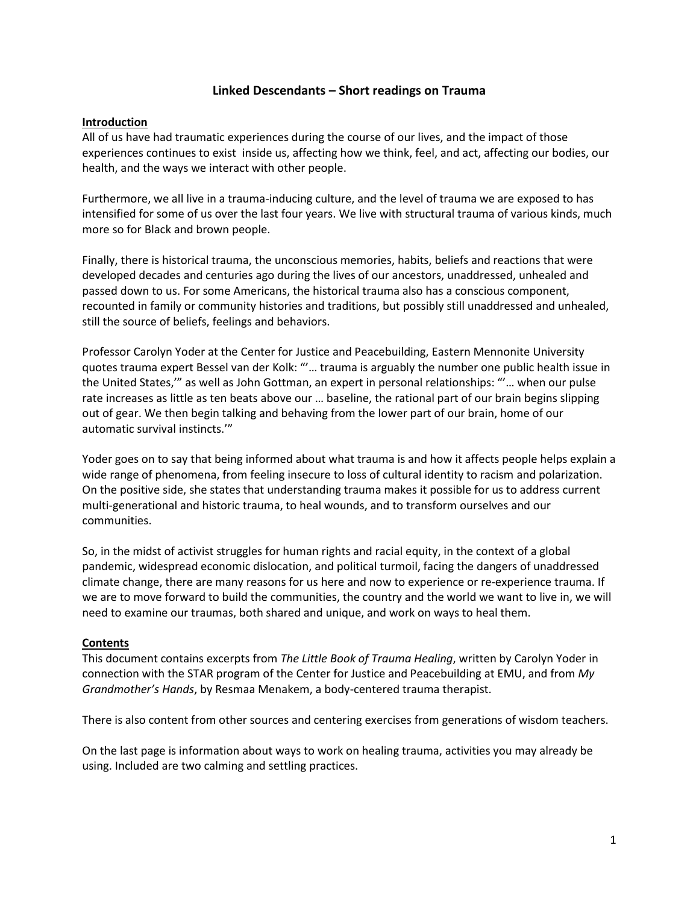## **Linked Descendants – Short readings on Trauma**

#### **Introduction**

All of us have had traumatic experiences during the course of our lives, and the impact of those experiences continues to exist inside us, affecting how we think, feel, and act, affecting our bodies, our health, and the ways we interact with other people.

Furthermore, we all live in a trauma-inducing culture, and the level of trauma we are exposed to has intensified for some of us over the last four years. We live with structural trauma of various kinds, much more so for Black and brown people.

Finally, there is historical trauma, the unconscious memories, habits, beliefs and reactions that were developed decades and centuries ago during the lives of our ancestors, unaddressed, unhealed and passed down to us. For some Americans, the historical trauma also has a conscious component, recounted in family or community histories and traditions, but possibly still unaddressed and unhealed, still the source of beliefs, feelings and behaviors.

Professor Carolyn Yoder at the Center for Justice and Peacebuilding, Eastern Mennonite University quotes trauma expert Bessel van der Kolk: "'… trauma is arguably the number one public health issue in the United States,'" as well as John Gottman, an expert in personal relationships: "'… when our pulse rate increases as little as ten beats above our … baseline, the rational part of our brain begins slipping out of gear. We then begin talking and behaving from the lower part of our brain, home of our automatic survival instincts.'"

Yoder goes on to say that being informed about what trauma is and how it affects people helps explain a wide range of phenomena, from feeling insecure to loss of cultural identity to racism and polarization. On the positive side, she states that understanding trauma makes it possible for us to address current multi-generational and historic trauma, to heal wounds, and to transform ourselves and our communities.

So, in the midst of activist struggles for human rights and racial equity, in the context of a global pandemic, widespread economic dislocation, and political turmoil, facing the dangers of unaddressed climate change, there are many reasons for us here and now to experience or re-experience trauma. If we are to move forward to build the communities, the country and the world we want to live in, we will need to examine our traumas, both shared and unique, and work on ways to heal them.

### **Contents**

This document contains excerpts from *The Little Book of Trauma Healing*, written by Carolyn Yoder in connection with the STAR program of the Center for Justice and Peacebuilding at EMU, and from *My Grandmother's Hands*, by Resmaa Menakem, a body-centered trauma therapist.

There is also content from other sources and centering exercises from generations of wisdom teachers.

On the last page is information about ways to work on healing trauma, activities you may already be using. Included are two calming and settling practices.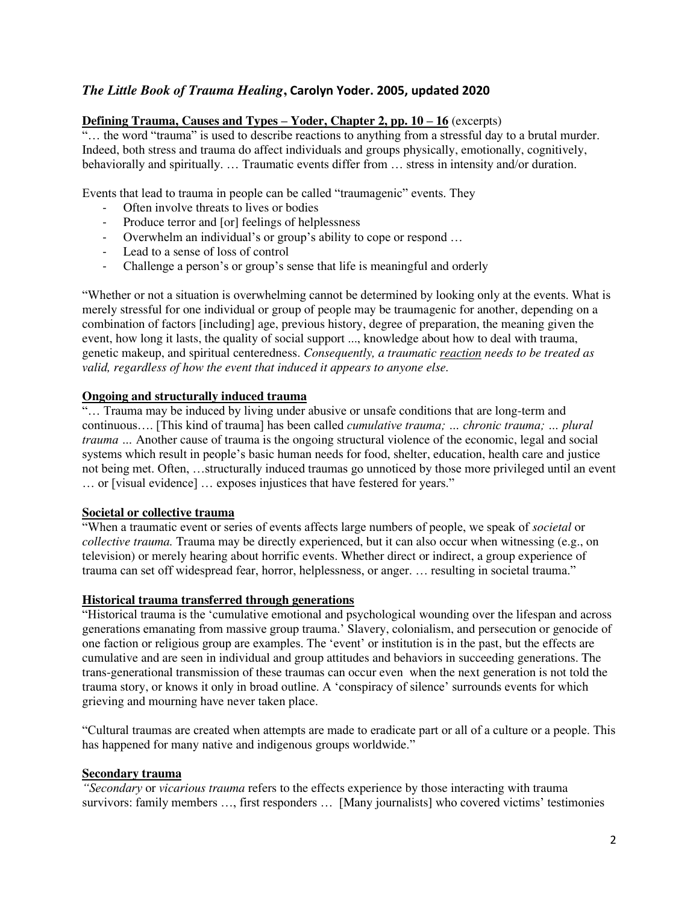# *The Little Book of Trauma Healing***, Carolyn Yoder. 2005, updated 2020**

### **Defining Trauma, Causes and Types – Yoder, Chapter 2, pp. 10 – 16** (excerpts)

"... the word "trauma" is used to describe reactions to anything from a stressful day to a brutal murder. Indeed, both stress and trauma do affect individuals and groups physically, emotionally, cognitively, behaviorally and spiritually. … Traumatic events differ from … stress in intensity and/or duration.

Events that lead to trauma in people can be called "traumagenic" events. They

- Often involve threats to lives or bodies
- Produce terror and [or] feelings of helplessness
- Overwhelm an individual's or group's ability to cope or respond …
- Lead to a sense of loss of control
- Challenge a person's or group's sense that life is meaningful and orderly

"Whether or not a situation is overwhelming cannot be determined by looking only at the events. What is merely stressful for one individual or group of people may be traumagenic for another, depending on a combination of factors [including] age, previous history, degree of preparation, the meaning given the event, how long it lasts, the quality of social support ..., knowledge about how to deal with trauma, genetic makeup, and spiritual centeredness. *Consequently, a traumatic reaction needs to be treated as valid, regardless of how the event that induced it appears to anyone else.*

#### **Ongoing and structurally induced trauma**

"… Trauma may be induced by living under abusive or unsafe conditions that are long-term and continuous…. [This kind of trauma] has been called *cumulative trauma; … chronic trauma; … plural trauma …* Another cause of trauma is the ongoing structural violence of the economic, legal and social systems which result in people's basic human needs for food, shelter, education, health care and justice not being met. Often, …structurally induced traumas go unnoticed by those more privileged until an event … or [visual evidence] … exposes injustices that have festered for years."

# **Societal or collective trauma**

"When a traumatic event or series of events affects large numbers of people, we speak of *societal* or *collective trauma.* Trauma may be directly experienced, but it can also occur when witnessing (e.g., on television) or merely hearing about horrific events. Whether direct or indirect, a group experience of trauma can set off widespread fear, horror, helplessness, or anger. … resulting in societal trauma."

#### **Historical trauma transferred through generations**

"Historical trauma is the 'cumulative emotional and psychological wounding over the lifespan and across generations emanating from massive group trauma.' Slavery, colonialism, and persecution or genocide of one faction or religious group are examples. The 'event' or institution is in the past, but the effects are cumulative and are seen in individual and group attitudes and behaviors in succeeding generations. The trans-generational transmission of these traumas can occur even when the next generation is not told the trauma story, or knows it only in broad outline. A 'conspiracy of silence' surrounds events for which grieving and mourning have never taken place.

"Cultural traumas are created when attempts are made to eradicate part or all of a culture or a people. This has happened for many native and indigenous groups worldwide."

#### **Secondary trauma**

*"Secondary* or *vicarious trauma* refers to the effects experience by those interacting with trauma survivors: family members …, first responders … [Many journalists] who covered victims' testimonies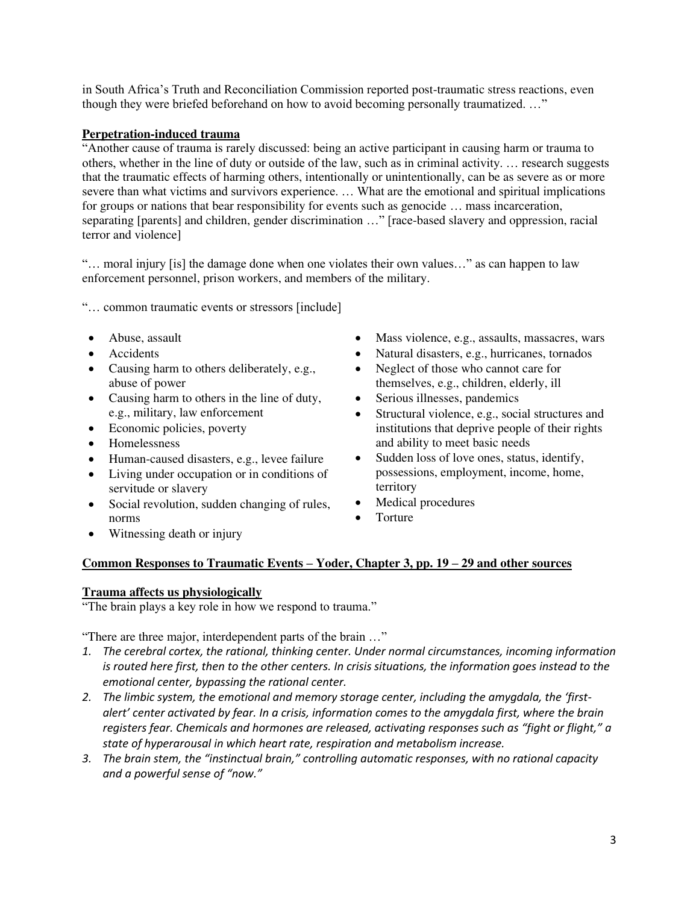in South Africa's Truth and Reconciliation Commission reported post-traumatic stress reactions, even though they were briefed beforehand on how to avoid becoming personally traumatized. ..."

# **Perpetration-induced trauma**

"Another cause of trauma is rarely discussed: being an active participant in causing harm or trauma to others, whether in the line of duty or outside of the law, such as in criminal activity. … research suggests that the traumatic effects of harming others, intentionally or unintentionally, can be as severe as or more severe than what victims and survivors experience. … What are the emotional and spiritual implications for groups or nations that bear responsibility for events such as genocide ... mass incarceration, separating [parents] and children, gender discrimination …" [race-based slavery and oppression, racial terror and violence]

"… moral injury [is] the damage done when one violates their own values…" as can happen to law enforcement personnel, prison workers, and members of the military.

"… common traumatic events or stressors [include]

- Abuse, assault
- Accidents
- Causing harm to others deliberately, e.g., abuse of power
- Causing harm to others in the line of duty, e.g., military, law enforcement
- Economic policies, poverty
- Homelessness
- Human-caused disasters, e.g., levee failure
- Living under occupation or in conditions of servitude or slavery
- Social revolution, sudden changing of rules, norms
- Mass violence, e.g., assaults, massacres, wars
- Natural disasters, e.g., hurricanes, tornados
- Neglect of those who cannot care for themselves, e.g., children, elderly, ill
- Serious illnesses, pandemics
- Structural violence, e.g., social structures and institutions that deprive people of their rights and ability to meet basic needs
- Sudden loss of love ones, status, identify, possessions, employment, income, home, territory
- Medical procedures
- Torture

• Witnessing death or injury

### **Common Responses to Traumatic Events – Yoder, Chapter 3, pp. 19 – 29 and other sources**

### **Trauma affects us physiologically**

"The brain plays a key role in how we respond to trauma."

"There are three major, interdependent parts of the brain …"

- *1. The cerebral cortex, the rational, thinking center. Under normal circumstances, incoming information is routed here first, then to the other centers. In crisis situations, the information goes instead to the emotional center, bypassing the rational center.*
- 2. The limbic system, the emotional and memory storage center, including the amygdala, the 'first*alert' center activated by fear. In a crisis, information comes to the amygdala first, where the brain registers fear. Chemicals and hormones are released, activating responses such as "fight or flight," a state of hyperarousal in which heart rate, respiration and metabolism increase.*
- *3. The brain stem, the "instinctual brain," controlling automatic responses, with no rational capacity and a powerful sense of "now."*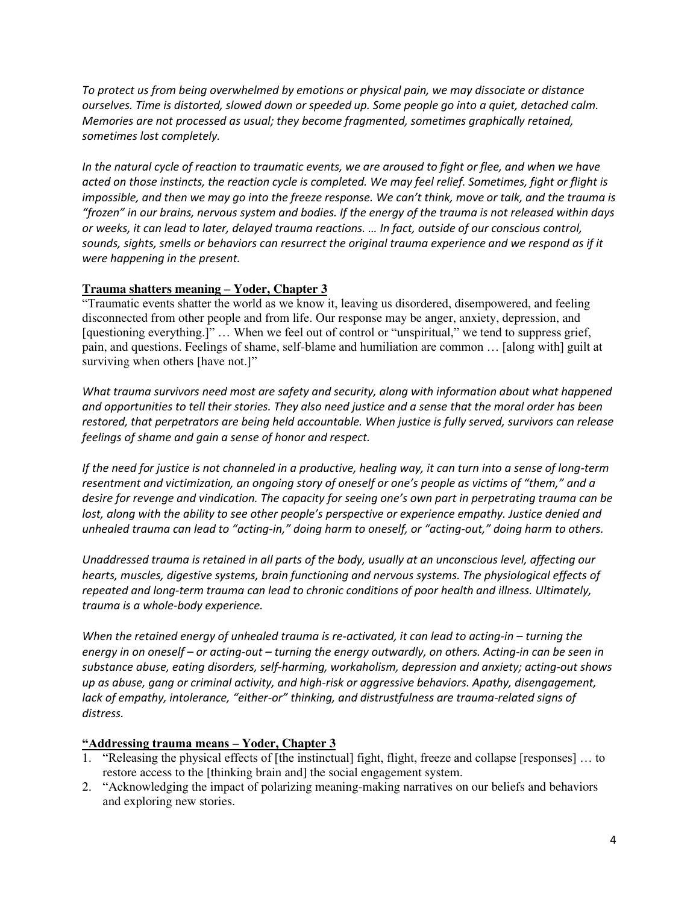*To protect us from being overwhelmed by emotions or physical pain, we may dissociate or distance ourselves. Time is distorted, slowed down or speeded up. Some people go into a quiet, detached calm. Memories are not processed as usual; they become fragmented, sometimes graphically retained, sometimes lost completely.* 

*In the natural cycle of reaction to traumatic events, we are aroused to fight or flee, and when we have acted on those instincts, the reaction cycle is completed. We may feel relief. Sometimes, fight or flight is impossible, and then we may go into the freeze response. We can't think, move or talk, and the trauma is "frozen" in our brains, nervous system and bodies. If the energy of the trauma is not released within days or weeks, it can lead to later, delayed trauma reactions. … In fact, outside of our conscious control, sounds, sights, smells or behaviors can resurrect the original trauma experience and we respond as if it were happening in the present.* 

## **Trauma shatters meaning – Yoder, Chapter 3**

"Traumatic events shatter the world as we know it, leaving us disordered, disempowered, and feeling disconnected from other people and from life. Our response may be anger, anxiety, depression, and [questioning everything.]" ... When we feel out of control or "unspiritual," we tend to suppress grief, pain, and questions. Feelings of shame, self-blame and humiliation are common … [along with] guilt at surviving when others [have not.]"

*What trauma survivors need most are safety and security, along with information about what happened and opportunities to tell their stories. They also need justice and a sense that the moral order has been restored, that perpetrators are being held accountable. When justice is fully served, survivors can release feelings of shame and gain a sense of honor and respect.* 

*If the need for justice is not channeled in a productive, healing way, it can turn into a sense of long-term resentment and victimization, an ongoing story of oneself or one's people as victims of "them," and a desire for revenge and vindication. The capacity for seeing one's own part in perpetrating trauma can be lost, along with the ability to see other people's perspective or experience empathy. Justice denied and unhealed trauma can lead to "acting-in," doing harm to oneself, or "acting-out," doing harm to others.*

*Unaddressed trauma is retained in all parts of the body, usually at an unconscious level, affecting our hearts, muscles, digestive systems, brain functioning and nervous systems. The physiological effects of repeated and long-term trauma can lead to chronic conditions of poor health and illness. Ultimately, trauma is a whole-body experience.* 

*When the retained energy of unhealed trauma is re-activated, it can lead to acting-in – turning the energy in on oneself – or acting-out – turning the energy outwardly, on others. Acting-in can be seen in substance abuse, eating disorders, self-harming, workaholism, depression and anxiety; acting-out shows up as abuse, gang or criminal activity, and high-risk or aggressive behaviors. Apathy, disengagement, lack of empathy, intolerance, "either-or" thinking, and distrustfulness are trauma-related signs of distress.* 

### **"Addressing trauma means – Yoder, Chapter 3**

- 1. "Releasing the physical effects of [the instinctual] fight, flight, freeze and collapse [responses] ... to restore access to the [thinking brain and] the social engagement system.
- 2. "Acknowledging the impact of polarizing meaning-making narratives on our beliefs and behaviors and exploring new stories.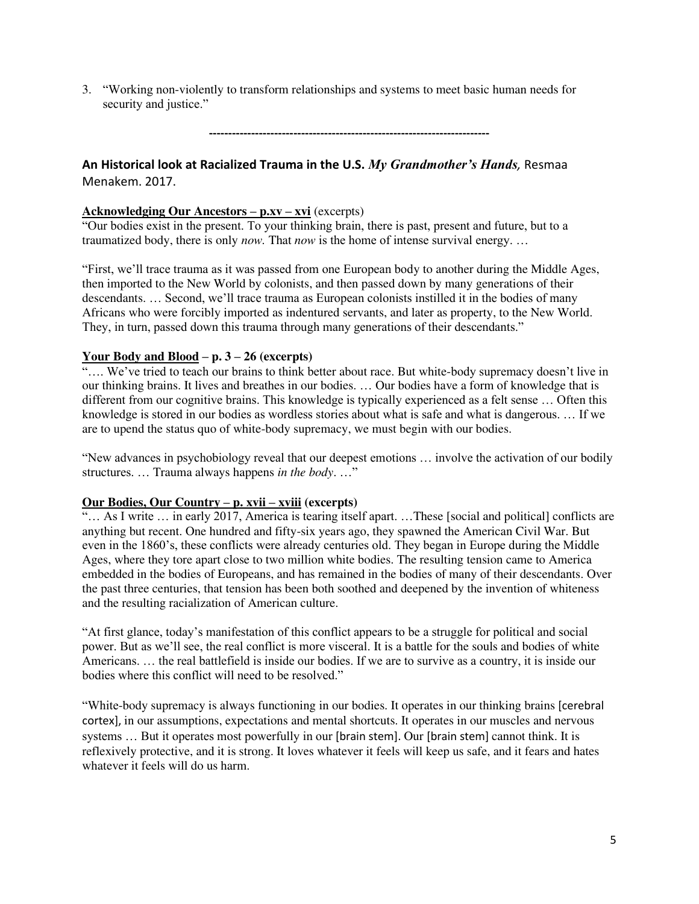3. "Working non-violently to transform relationships and systems to meet basic human needs for security and justice."

**-------------------------------------------------------------------------**

# **An Historical look at Racialized Trauma in the U.S.** *My Grandmother's Hands,* Resmaa Menakem. 2017.

#### **Acknowledging Our Ancestors – p.xv – xvi** (excerpts)

"Our bodies exist in the present. To your thinking brain, there is past, present and future, but to a traumatized body, there is only *now.* That *now* is the home of intense survival energy. …

"First, we'll trace trauma as it was passed from one European body to another during the Middle Ages, then imported to the New World by colonists, and then passed down by many generations of their descendants. … Second, we'll trace trauma as European colonists instilled it in the bodies of many Africans who were forcibly imported as indentured servants, and later as property, to the New World. They, in turn, passed down this trauma through many generations of their descendants."

#### **Your Body and Blood – p. 3 – 26 (excerpts)**

"…. We've tried to teach our brains to think better about race. But white-body supremacy doesn't live in our thinking brains. It lives and breathes in our bodies. … Our bodies have a form of knowledge that is different from our cognitive brains. This knowledge is typically experienced as a felt sense … Often this knowledge is stored in our bodies as wordless stories about what is safe and what is dangerous. … If we are to upend the status quo of white-body supremacy, we must begin with our bodies.

"New advances in psychobiology reveal that our deepest emotions … involve the activation of our bodily structures. … Trauma always happens *in the body*. …"

### **Our Bodies, Our Country – p. xvii – xviii (excerpts)**

 $\cdots$  As I write  $\cdots$  in early 2017, America is tearing itself apart.  $\cdots$  These [social and political] conflicts are anything but recent. One hundred and fifty-six years ago, they spawned the American Civil War. But even in the 1860's, these conflicts were already centuries old. They began in Europe during the Middle Ages, where they tore apart close to two million white bodies. The resulting tension came to America embedded in the bodies of Europeans, and has remained in the bodies of many of their descendants. Over the past three centuries, that tension has been both soothed and deepened by the invention of whiteness and the resulting racialization of American culture.

"At first glance, today's manifestation of this conflict appears to be a struggle for political and social power. But as we'll see, the real conflict is more visceral. It is a battle for the souls and bodies of white Americans. … the real battlefield is inside our bodies. If we are to survive as a country, it is inside our bodies where this conflict will need to be resolved."

"White-body supremacy is always functioning in our bodies. It operates in our thinking brains [cerebral cortex], in our assumptions, expectations and mental shortcuts. It operates in our muscles and nervous systems ... But it operates most powerfully in our [brain stem]. Our [brain stem] cannot think. It is reflexively protective, and it is strong. It loves whatever it feels will keep us safe, and it fears and hates whatever it feels will do us harm.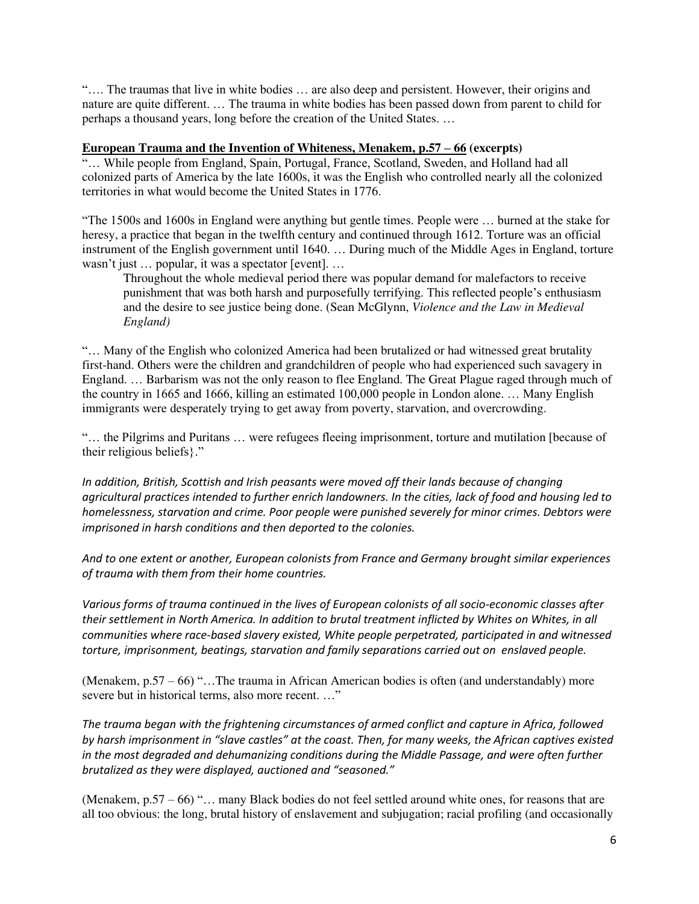"…. The traumas that live in white bodies … are also deep and persistent. However, their origins and nature are quite different. … The trauma in white bodies has been passed down from parent to child for perhaps a thousand years, long before the creation of the United States. …

### **European Trauma and the Invention of Whiteness, Menakem, p.57 – 66 (excerpts)**

"… While people from England, Spain, Portugal, France, Scotland, Sweden, and Holland had all colonized parts of America by the late 1600s, it was the English who controlled nearly all the colonized territories in what would become the United States in 1776.

"The 1500s and 1600s in England were anything but gentle times. People were … burned at the stake for heresy, a practice that began in the twelfth century and continued through 1612. Torture was an official instrument of the English government until 1640. … During much of the Middle Ages in England, torture wasn't just … popular, it was a spectator [event]. …

Throughout the whole medieval period there was popular demand for malefactors to receive punishment that was both harsh and purposefully terrifying. This reflected people's enthusiasm and the desire to see justice being done. (Sean McGlynn, *Violence and the Law in Medieval England)* 

"… Many of the English who colonized America had been brutalized or had witnessed great brutality first-hand. Others were the children and grandchildren of people who had experienced such savagery in England. … Barbarism was not the only reason to flee England. The Great Plague raged through much of the country in 1665 and 1666, killing an estimated 100,000 people in London alone. … Many English immigrants were desperately trying to get away from poverty, starvation, and overcrowding.

"… the Pilgrims and Puritans … were refugees fleeing imprisonment, torture and mutilation [because of their religious beliefs}."

*In addition, British, Scottish and Irish peasants were moved off their lands because of changing agricultural practices intended to further enrich landowners. In the cities, lack of food and housing led to homelessness, starvation and crime. Poor people were punished severely for minor crimes. Debtors were imprisoned in harsh conditions and then deported to the colonies.* 

*And to one extent or another, European colonists from France and Germany brought similar experiences of trauma with them from their home countries.* 

*Various forms of trauma continued in the lives of European colonists of all socio-economic classes after their settlement in North America. In addition to brutal treatment inflicted by Whites on Whites, in all communities where race-based slavery existed, White people perpetrated, participated in and witnessed torture, imprisonment, beatings, starvation and family separations carried out on enslaved people.* 

(Menakem, p.57 – 66) "…The trauma in African American bodies is often (and understandably) more severe but in historical terms, also more recent. …"

*The trauma began with the frightening circumstances of armed conflict and capture in Africa, followed by harsh imprisonment in "slave castles" at the coast. Then, for many weeks, the African captives existed in the most degraded and dehumanizing conditions during the Middle Passage, and were often further brutalized as they were displayed, auctioned and "seasoned."*

(Menakem, p.57 – 66) "… many Black bodies do not feel settled around white ones, for reasons that are all too obvious: the long, brutal history of enslavement and subjugation; racial profiling (and occasionally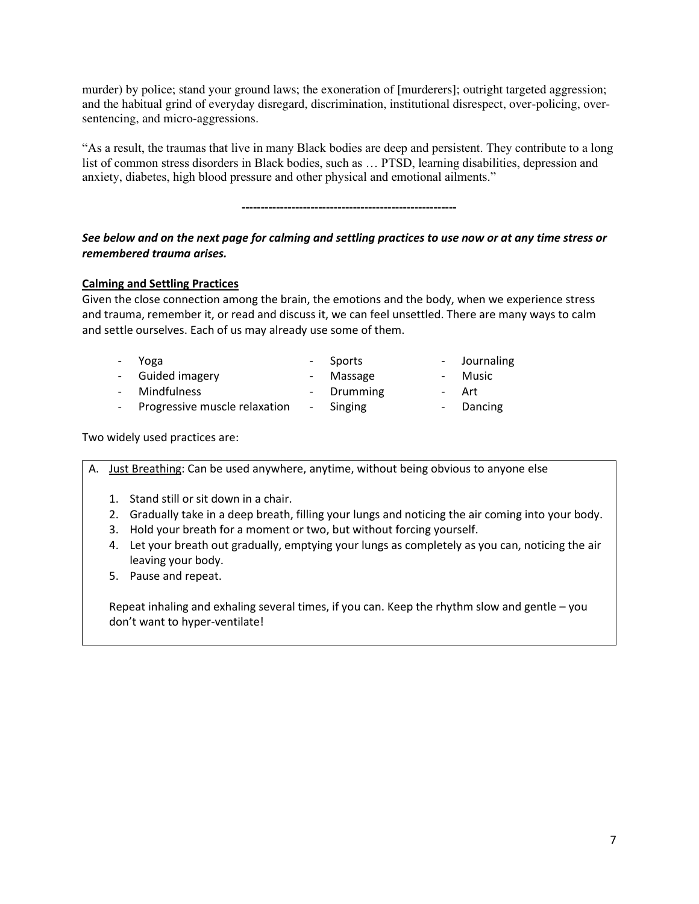murder) by police; stand your ground laws; the exoneration of [murderers]; outright targeted aggression; and the habitual grind of everyday disregard, discrimination, institutional disrespect, over-policing, oversentencing, and micro-aggressions.

"As a result, the traumas that live in many Black bodies are deep and persistent. They contribute to a long list of common stress disorders in Black bodies, such as … PTSD, learning disabilities, depression and anxiety, diabetes, high blood pressure and other physical and emotional ailments."

**--------------------------------------------------------**

# *See below and on the next page for calming and settling practices to use now or at any time stress or remembered trauma arises.*

### **Calming and Settling Practices**

Given the close connection among the brain, the emotions and the body, when we experience stress and trauma, remember it, or read and discuss it, we can feel unsettled. There are many ways to calm and settle ourselves. Each of us may already use some of them.

| - Yoga                          | - Sports   | - Journaling |
|---------------------------------|------------|--------------|
| - Guided imagery                | - Massage  | - Music      |
| - Mindfulness                   | - Drumming | - Art        |
| - Progressive muscle relaxation | - Singing  | - Dancing    |

Two widely used practices are:

| А. | Just Breathing: Can be used anywhere, anytime, without being obvious to anyone else                                                                                                                                                                                                                                                                                            |  |  |  |  |
|----|--------------------------------------------------------------------------------------------------------------------------------------------------------------------------------------------------------------------------------------------------------------------------------------------------------------------------------------------------------------------------------|--|--|--|--|
|    | Stand still or sit down in a chair.<br>Gradually take in a deep breath, filling your lungs and noticing the air coming into your body.<br>2.<br>Hold your breath for a moment or two, but without forcing yourself.<br>3.<br>Let your breath out gradually, emptying your lungs as completely as you can, noticing the air<br>4.<br>leaving your body.<br>5. Pause and repeat. |  |  |  |  |
|    | Repeat inhaling and exhaling several times, if you can. Keep the rhythm slow and gentle – you<br>don't want to hyper-ventilate!                                                                                                                                                                                                                                                |  |  |  |  |